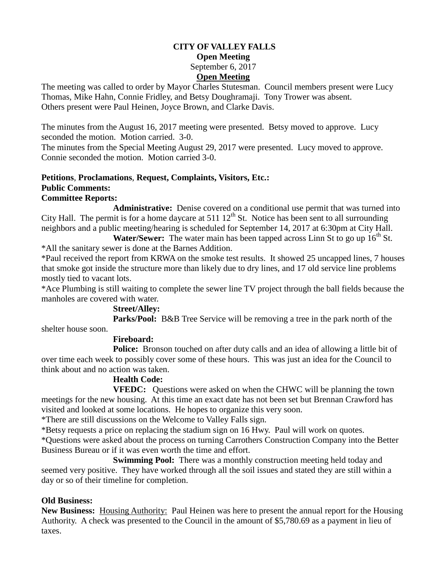### **CITY OF VALLEY FALLS Open Meeting** September 6, 2017 **Open Meeting**

The meeting was called to order by Mayor Charles Stutesman. Council members present were Lucy Thomas, Mike Hahn, Connie Fridley, and Betsy Doughramaji. Tony Trower was absent. Others present were Paul Heinen, Joyce Brown, and Clarke Davis.

The minutes from the August 16, 2017 meeting were presented. Betsy moved to approve. Lucy seconded the motion. Motion carried. 3-0.

The minutes from the Special Meeting August 29, 2017 were presented. Lucy moved to approve. Connie seconded the motion. Motion carried 3-0.

# **Petitions**, **Proclamations**, **Request, Complaints, Visitors, Etc.: Public Comments:**

### **Committee Reports:**

**Administrative:** Denise covered on a conditional use permit that was turned into City Hall. The permit is for a home daycare at 511  $12<sup>th</sup>$  St. Notice has been sent to all surrounding neighbors and a public meeting/hearing is scheduled for September 14, 2017 at 6:30pm at City Hall.

**Water/Sewer:** The water main has been tapped across Linn St to go up 16<sup>th</sup> St. \*All the sanitary sewer is done at the Barnes Addition.

\*Paul received the report from KRWA on the smoke test results. It showed 25 uncapped lines, 7 houses that smoke got inside the structure more than likely due to dry lines, and 17 old service line problems mostly tied to vacant lots.

\*Ace Plumbing is still waiting to complete the sewer line TV project through the ball fields because the manholes are covered with water.

## **Street/Alley:**

**Parks/Pool:** B&B Tree Service will be removing a tree in the park north of the shelter house soon.

## **Fireboard:**

**Police:** Bronson touched on after duty calls and an idea of allowing a little bit of over time each week to possibly cover some of these hours. This was just an idea for the Council to think about and no action was taken.

## **Health Code:**

**VFEDC:** Questions were asked on when the CHWC will be planning the town meetings for the new housing. At this time an exact date has not been set but Brennan Crawford has visited and looked at some locations. He hopes to organize this very soon.

\*There are still discussions on the Welcome to Valley Falls sign.

\*Betsy requests a price on replacing the stadium sign on 16 Hwy. Paul will work on quotes.

\*Questions were asked about the process on turning Carrothers Construction Company into the Better Business Bureau or if it was even worth the time and effort.

**Swimming Pool:** There was a monthly construction meeting held today and seemed very positive. They have worked through all the soil issues and stated they are still within a day or so of their timeline for completion.

## **Old Business:**

**New Business:** Housing Authority: Paul Heinen was here to present the annual report for the Housing Authority. A check was presented to the Council in the amount of \$5,780.69 as a payment in lieu of taxes.